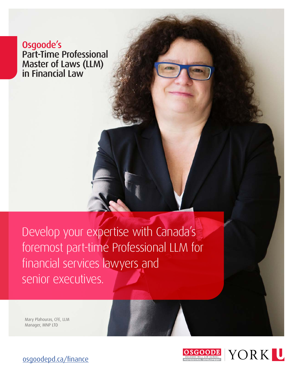Osgoode's [Part-Time Professional](https://www.osgoodepd.ca/graduate-programs-and-courses/specializations/banking-and-financial-services-law/?utm_medium=digital&utm_source=brochure&utm_campaign=llm+financial+law) Master of Laws (LLM) in Financial Law

Develop your expertise with Canada's foremost part-time Professional LLM for financial services lawyers and senior executives.

Mary Plahouras, CFE, LLM Manager, MNP LTD



[osgoodepd.ca/](https://osgoodepd.ca/academic-programs/professional-llms/financial-law/?utm_medium=digital&utm_source=brochure&utm_campaign=llm+financial+law)finance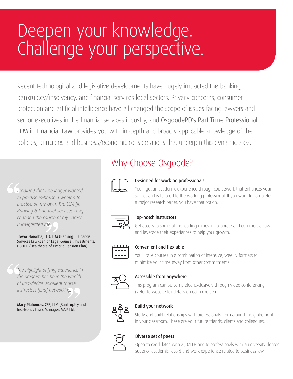# Deepen your knowledge. Challenge your perspective.

Recent technological and legislative developments have hugely impacted the banking, bankruptcy/insolvency, and financial services legal sectors. Privacy concerns, consumer protection and artificial intelligence have all changed the scope of issues facing lawyers and senior executives in the financial services industry, and OsgoodePD's Part-Time Professional LLM in Financial Law provides you with in-depth and broadly applicable knowledge of the policies, principles and business/economic considerations that underpin this dynamic area.

*I realized that I no longer wanted to practise in-house. I wanted to practise on my own. The LLM [in Banking & Financial Services Law] changed the course of my career. It invigorated me.*

Trevor Noronha, LLB, LLM (Banking & Financial Services Law),Senior Legal Counsel, Investments, HOOPP (Healthcare of Ontario Pension Plan)

*The highlight of [my] experience in the program has been the wealth of knowledge, excellent course instructors [and] networking.*

Mary Plahouras, CFE, LLM (Bankruptcy and Insolvency Law), Manager, MNP Ltd.

## Why Choose Osgoode?



#### Designed for working professionals

You'll get an academic experience through coursework that enhances your skillset and is tailored to the working professional. If you want to complete a major research paper, you have that option.



#### Top-notch instructors

Get access to some of the leading minds in corporate and commercial law and leverage their experiences to help your growth.



#### Convenient and flexiable

You'll take courses in a combination of intensive, weekly formats to minimize your time away from other commitments.



#### Accessible from anywhere

This program can be completed exclusively through video conferencing. (Refer to website for details on each course.)



#### Build your network

Study and build relationships with professionals from around the globe right in your classroom. These are your future friends, clients and colleagues.



#### Diverse set of peers

Open to candidates with a JD/LLB and to professionals with a university degree, superior academic record and work experience related to business law.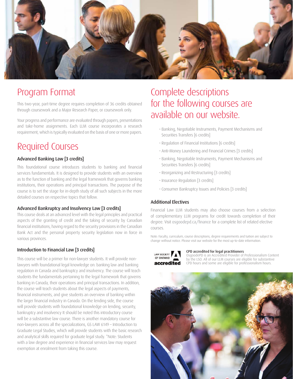

### Program Format

This two-year, part-time degree requires completion of 36 credits obtained through coursework and a Major Research Paper, or coursework only.

Your progress and performance are evaluated through papers, presentations and take-home assignments. Each LLM course incorporates a research requirement, which is typically evaluated on the basis of one or more papers.

### Required Courses

#### Advanced Banking Law [3 credits]

This foundational course introduces students to banking and financial services fundamentals. It is designed to provide students with an overview as to the function of banking and the legal framework that governs banking institutions, their operations and principal transactions. The purpose of the course is to set the stage for in-depth study of all such subjects in the more detailed courses on respective topics that follow.

#### Advanced Bankruptcy and Insolvency Law [3 credits]

This course deals at an advanced level with the legal principles and practical aspects of the granting of credit and the taking of security by Canadian financial institutions, having regard to the security provisions in the Canadian Bank Act and the personal property security legislation now in force in various provinces.

#### Introduction to Financial Law [3 credits]

This course will be a primer for non-lawyer students. It will provide nonlawyers with foundational legal knowledge on: banking law and banking regulation in Canada and bankruptcy and insolvency. The course will teach students the fundamentals pertaining to the legal framework that governs banking in Canada, their operations and principal transactions. In addition, the course will teach students about the legal aspects of payments, financial instruments, and give students an overview of banking within the larger financial industry in Canada. On the lending side, the course will provide students with foundational knowledge on lending, security, bankruptcy and insolvency It should be noted this introductory course will be a substantive law course. There is another mandatory course for non-lawyers across all the specializations, GS LAW 6149 – Introduction to Graduate Legal Studies, which will provide students with the basic research and analytical skills required for graduate legal study. \*Note: Students with a law degree and experience in financial services law may request exemption at enrolment from taking this course.

### Complete descriptions for the following courses are available on our website.

- Banking, Negotiable Instruments, Payment Mechanisms and Securities Transfers [6 credits]
- Regulation of Financial Institutions [6 credits]
- Anti-Money Laundering and Financial Crimes [3 credits]
- Banking, Negotiable Instruments, Payment Mechanisms and Securities Transfers [6 credits]
- Reorganizing and Restructuring [3 credits]
- Insurance Regulation [3 credits]
- Consumer Bankruptcy Issues and Policies [3 credits]

#### Additional Electives

Financial Law LLM students may also choose courses from a selection of complementary LLM programs for credit towards completion of their degree. Visit [osgoodepd.ca/fi](http://www.osgoodepd.ca/graduate-programs-and-courses/specializations/business-law/?utm_medium=digital&utm_source=brochure&utm_campaign=llm+business+law&utm_content=Winter+2019)nance for a complete list of related elective courses.

Note: Faculty, curriculum, course descriptions, degree requirements and tuition are subject to change without notice. Please visit our website for the most up-to-date information.



#### CPD accredited for legal practitioners

OsgoodePD is an Accredited Provider of Professionalism Content by the LSO. All of our LLM courses are eligible for substantive CPD hours and some are eligible for professionalism hours.